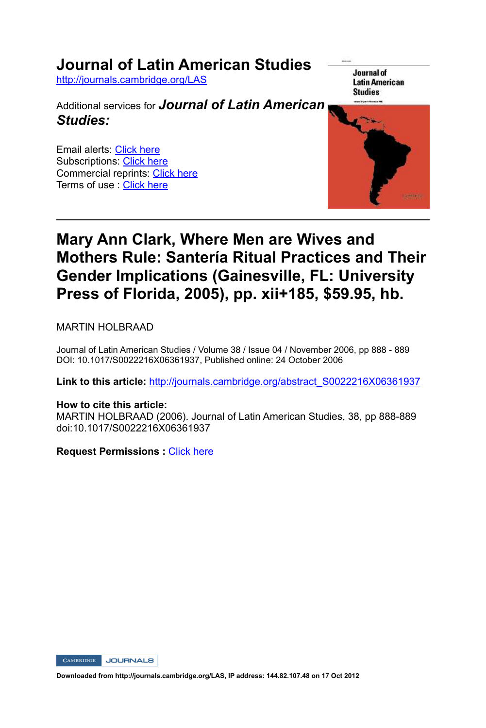## **Journal of Latin American Studies**

http://journals.cambridge.org/LAS

Additional services for *Journal of Latin American Studies:*

Email alerts: Click here Subscriptions: Click here Commercial reprints: Click here Terms of use : Click here

Journal of **Latin American Studies** 



## **Mary Ann Clark, Where Men are Wives and Mothers Rule: Santería Ritual Practices and Their Gender Implications (Gainesville, FL: University Press of Florida, 2005), pp. xii+185, \$59.95, hb.**

MARTIN HOLBRAAD

Journal of Latin American Studies / Volume 38 / Issue 04 / November 2006, pp 888 - 889 DOI: 10.1017/S0022216X06361937, Published online: 24 October 2006

**Link to this article:** http://journals.cambridge.org/abstract\_S0022216X06361937

## **How to cite this article:**

MARTIN HOLBRAAD (2006). Journal of Latin American Studies, 38, pp 888-889 doi:10.1017/S0022216X06361937

**Request Permissions :** Click here

CAMBRIDGE JOURNALS

**Downloaded from http://journals.cambridge.org/LAS, IP address: 144.82.107.48 on 17 Oct 2012**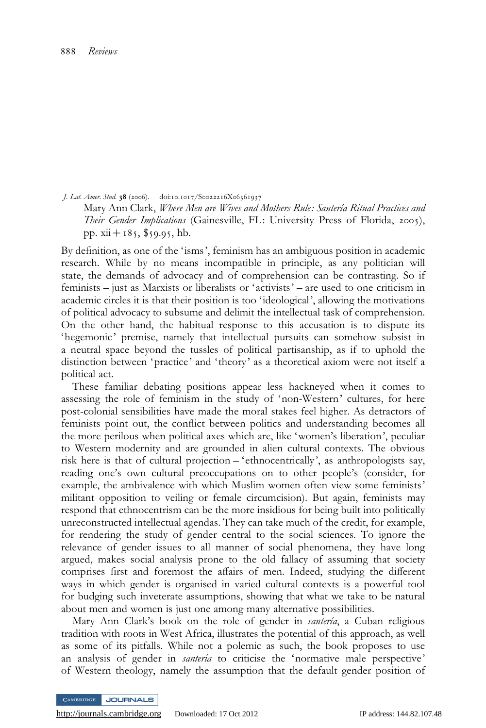J. Lat. Amer. Stud. 38 (2006). doi:10.1017/S0022216X06361937

Mary Ann Clark, Where Men are Wives and Mothers Rule: Santería Ritual Practices and Their Gender Implications (Gainesville, FL: University Press of Florida, 2005), pp.  $xii + 185$ , \$59.95, hb.

By definition, as one of the 'isms', feminism has an ambiguous position in academic research. While by no means incompatible in principle, as any politician will state, the demands of advocacy and of comprehension can be contrasting. So if feminists – just as Marxists or liberalists or 'activists' – are used to one criticism in academic circles it is that their position is too 'ideological', allowing the motivations of political advocacy to subsume and delimit the intellectual task of comprehension. On the other hand, the habitual response to this accusation is to dispute its 'hegemonic ' premise, namely that intellectual pursuits can somehow subsist in a neutral space beyond the tussles of political partisanship, as if to uphold the distinction between 'practice' and 'theory' as a theoretical axiom were not itself a political act.

These familiar debating positions appear less hackneyed when it comes to assessing the role of feminism in the study of 'non-Western' cultures, for here post-colonial sensibilities have made the moral stakes feel higher. As detractors of feminists point out, the conflict between politics and understanding becomes all the more perilous when political axes which are, like 'women's liberation', peculiar to Western modernity and are grounded in alien cultural contexts. The obvious risk here is that of cultural projection – 'ethnocentrically', as anthropologists say, reading one's own cultural preoccupations on to other people's (consider, for example, the ambivalence with which Muslim women often view some feminists' militant opposition to veiling or female circumcision). But again, feminists may respond that ethnocentrism can be the more insidious for being built into politically unreconstructed intellectual agendas. They can take much of the credit, for example, for rendering the study of gender central to the social sciences. To ignore the relevance of gender issues to all manner of social phenomena, they have long argued, makes social analysis prone to the old fallacy of assuming that society comprises first and foremost the affairs of men. Indeed, studying the different ways in which gender is organised in varied cultural contexts is a powerful tool for budging such inveterate assumptions, showing that what we take to be natural about men and women is just one among many alternative possibilities.

Mary Ann Clark's book on the role of gender in santería, a Cuban religious tradition with roots in West Africa, illustrates the potential of this approach, as well as some of its pitfalls. While not a polemic as such, the book proposes to use an analysis of gender in *santeria* to criticise the 'normative male perspective' of Western theology, namely the assumption that the default gender position of

JOURNALS

<http://journals.cambridge.org> Downloaded: 17 Oct 2012 IP address: 144.82.107.48